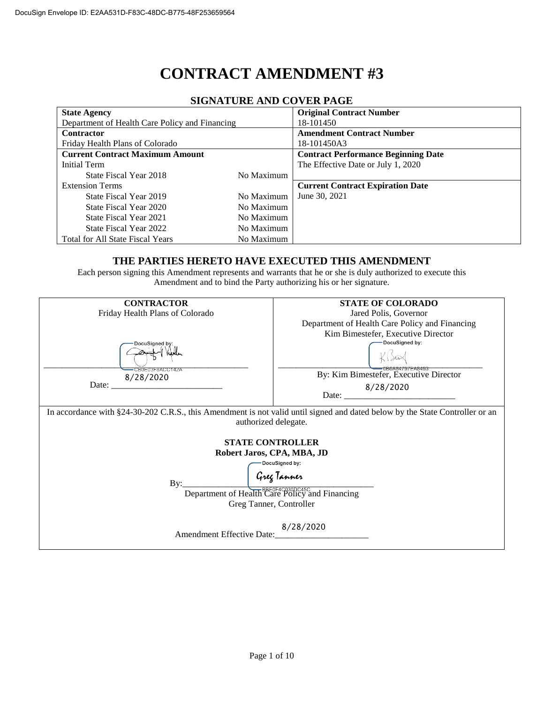# **CONTRACT AMENDMENT #3**

| <u>SIGNATUNE AND CO LENTAGE</u>                |            |                                            |  |  |  |  |  |
|------------------------------------------------|------------|--------------------------------------------|--|--|--|--|--|
| <b>State Agency</b>                            |            | <b>Original Contract Number</b>            |  |  |  |  |  |
| Department of Health Care Policy and Financing |            | 18-101450                                  |  |  |  |  |  |
| <b>Contractor</b>                              |            | <b>Amendment Contract Number</b>           |  |  |  |  |  |
| Friday Health Plans of Colorado                |            | 18-101450A3                                |  |  |  |  |  |
| <b>Current Contract Maximum Amount</b>         |            | <b>Contract Performance Beginning Date</b> |  |  |  |  |  |
| Initial Term                                   |            | The Effective Date or July 1, 2020         |  |  |  |  |  |
| State Fiscal Year 2018                         | No Maximum |                                            |  |  |  |  |  |
| <b>Extension Terms</b>                         |            | <b>Current Contract Expiration Date</b>    |  |  |  |  |  |
| State Fiscal Year 2019                         | No Maximum | June 30, 2021                              |  |  |  |  |  |
| State Fiscal Year 2020                         | No Maximum |                                            |  |  |  |  |  |
| State Fiscal Year 2021                         | No Maximum |                                            |  |  |  |  |  |
| State Fiscal Year 2022                         | No Maximum |                                            |  |  |  |  |  |
| <b>Total for All State Fiscal Years</b>        | No Maximum |                                            |  |  |  |  |  |
|                                                |            |                                            |  |  |  |  |  |

#### **SIGNATURE AND COVER PAGE**

#### **THE PARTIES HERETO HAVE EXECUTED THIS AMENDMENT**

Each person signing this Amendment represents and warrants that he or she is duly authorized to execute this Amendment and to bind the Party authorizing his or her signature.

| <b>CONTRACTOR</b>                                                                                                                                                                                                                                                                                                                                                            | <b>STATE OF COLORADO</b>                       |  |  |  |  |  |
|------------------------------------------------------------------------------------------------------------------------------------------------------------------------------------------------------------------------------------------------------------------------------------------------------------------------------------------------------------------------------|------------------------------------------------|--|--|--|--|--|
|                                                                                                                                                                                                                                                                                                                                                                              |                                                |  |  |  |  |  |
| Friday Health Plans of Colorado                                                                                                                                                                                                                                                                                                                                              | Jared Polis, Governor                          |  |  |  |  |  |
|                                                                                                                                                                                                                                                                                                                                                                              | Department of Health Care Policy and Financing |  |  |  |  |  |
|                                                                                                                                                                                                                                                                                                                                                                              | Kim Bimestefer, Executive Director             |  |  |  |  |  |
| DocuSianed by:                                                                                                                                                                                                                                                                                                                                                               | DocuSigned by:                                 |  |  |  |  |  |
|                                                                                                                                                                                                                                                                                                                                                                              |                                                |  |  |  |  |  |
|                                                                                                                                                                                                                                                                                                                                                                              |                                                |  |  |  |  |  |
| <del>·CB0E03F8ACC142A</del><br>8/28/2020                                                                                                                                                                                                                                                                                                                                     | By: Kim Bimestefer, Executive Director         |  |  |  |  |  |
| Date: $\frac{1}{\sqrt{1-\frac{1}{2}} \cdot \frac{1}{2}}$                                                                                                                                                                                                                                                                                                                     | 8/28/2020                                      |  |  |  |  |  |
|                                                                                                                                                                                                                                                                                                                                                                              | Date: $\frac{1}{2}$                            |  |  |  |  |  |
| In accordance with §24-30-202 C.R.S., this Amendment is not valid until signed and dated below by the State Controller or an<br>authorized delegate.<br><b>STATE CONTROLLER</b><br>Robert Jaros, CPA, MBA, JD<br>DocuSigned by:<br>Greg Tanner<br>By:<br>Department of Health Care Policy and Financing<br>Greg Tanner, Controller<br>8/28/2020<br>Amendment Effective Date: |                                                |  |  |  |  |  |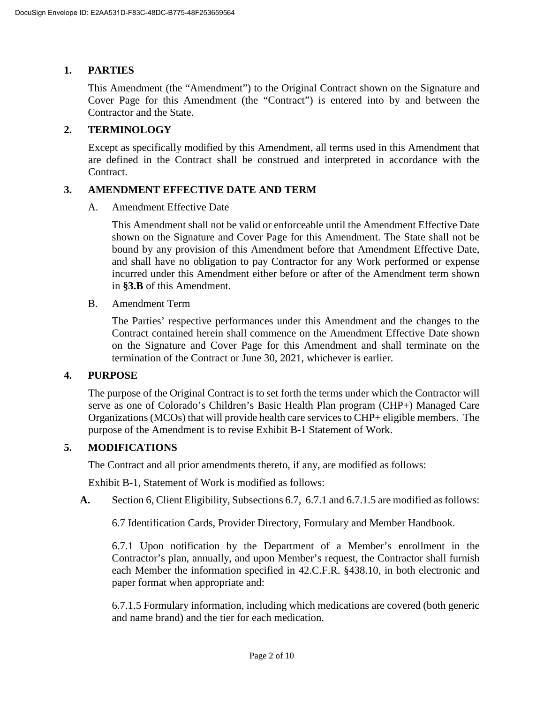## **1. PARTIES**

This Amendment (the "Amendment") to the Original Contract shown on the Signature and Cover Page for this Amendment (the "Contract") is entered into by and between the Contractor and the State.

## **2. TERMINOLOGY**

Except as specifically modified by this Amendment, all terms used in this Amendment that are defined in the Contract shall be construed and interpreted in accordance with the Contract.

## **3. AMENDMENT EFFECTIVE DATE AND TERM**

A. Amendment Effective Date

This Amendment shall not be valid or enforceable until the Amendment Effective Date shown on the Signature and Cover Page for this Amendment. The State shall not be bound by any provision of this Amendment before that Amendment Effective Date, and shall have no obligation to pay Contractor for any Work performed or expense incurred under this Amendment either before or after of the Amendment term shown in **[§3.B](#page--1-0)** of this Amendment.

B. Amendment Term

The Parties' respective performances under this Amendment and the changes to the Contract contained herein shall commence on the Amendment Effective Date shown on the Signature and Cover Page for this Amendment and shall terminate on the termination of the Contract or June 30, 2021, whichever is earlier.

## **4. PURPOSE**

The purpose of the Original Contract is to set forth the terms under which the Contractor will serve as one of Colorado's Children's Basic Health Plan program (CHP+) Managed Care Organizations (MCOs) that will provide health care services to CHP+ eligible members. The purpose of the Amendment is to revise Exhibit B-1 Statement of Work.

## **5. MODIFICATIONS**

The Contract and all prior amendments thereto, if any, are modified as follows:

Exhibit B-1, Statement of Work is modified as follows:

**A.** Section 6, Client Eligibility, Subsections 6.7, 6.7.1 and 6.7.1.5 are modified as follows:

6.7 Identification Cards, Provider Directory, Formulary and Member Handbook.

6.7.1 Upon notification by the Department of a Member's enrollment in the Contractor's plan, annually, and upon Member's request, the Contractor shall furnish each Member the information specified in 42.C.F.R. §438.10, in both electronic and paper format when appropriate and:

6.7.1.5 Formulary information, including which medications are covered (both generic and name brand) and the tier for each medication.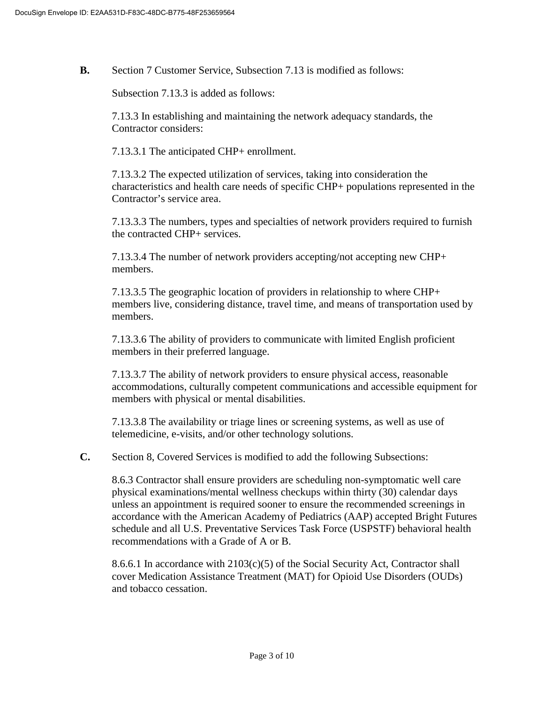**B.** Section 7 Customer Service, Subsection 7.13 is modified as follows:

Subsection 7.13.3 is added as follows:

7.13.3 In establishing and maintaining the network adequacy standards, the Contractor considers:

7.13.3.1 The anticipated CHP+ enrollment.

7.13.3.2 The expected utilization of services, taking into consideration the characteristics and health care needs of specific CHP+ populations represented in the Contractor's service area.

7.13.3.3 The numbers, types and specialties of network providers required to furnish the contracted CHP+ services.

7.13.3.4 The number of network providers accepting/not accepting new CHP+ members.

7.13.3.5 The geographic location of providers in relationship to where CHP+ members live, considering distance, travel time, and means of transportation used by members.

7.13.3.6 The ability of providers to communicate with limited English proficient members in their preferred language.

7.13.3.7 The ability of network providers to ensure physical access, reasonable accommodations, culturally competent communications and accessible equipment for members with physical or mental disabilities.

7.13.3.8 The availability or triage lines or screening systems, as well as use of telemedicine, e-visits, and/or other technology solutions.

**C.** Section 8, Covered Services is modified to add the following Subsections:

8.6.3 Contractor shall ensure providers are scheduling non-symptomatic well care physical examinations/mental wellness checkups within thirty (30) calendar days unless an appointment is required sooner to ensure the recommended screenings in accordance with the American Academy of Pediatrics (AAP) accepted Bright Futures schedule and all U.S. Preventative Services Task Force (USPSTF) behavioral health recommendations with a Grade of A or B.

8.6.6.1 In accordance with  $2103(c)(5)$  of the Social Security Act, Contractor shall cover Medication Assistance Treatment (MAT) for Opioid Use Disorders (OUDs) and tobacco cessation.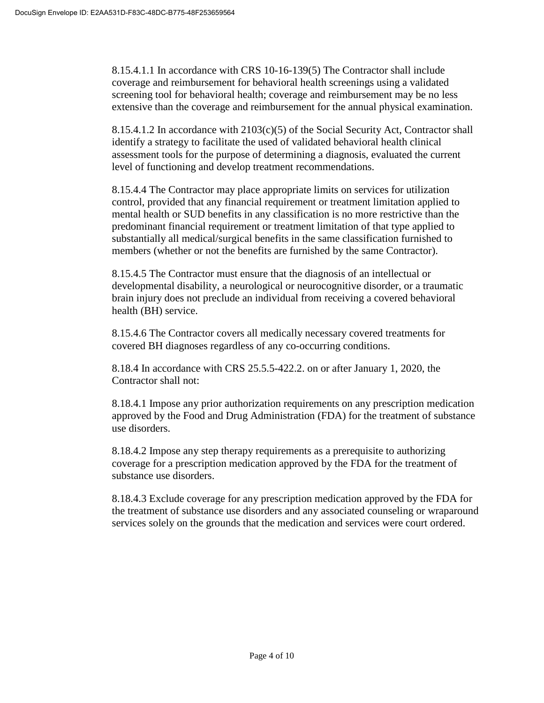8.15.4.1.1 In accordance with CRS 10-16-139(5) The Contractor shall include coverage and reimbursement for behavioral health screenings using a validated screening tool for behavioral health; coverage and reimbursement may be no less extensive than the coverage and reimbursement for the annual physical examination.

8.15.4.1.2 In accordance with 2103(c)(5) of the Social Security Act, Contractor shall identify a strategy to facilitate the used of validated behavioral health clinical assessment tools for the purpose of determining a diagnosis, evaluated the current level of functioning and develop treatment recommendations.

8.15.4.4 The Contractor may place appropriate limits on services for utilization control, provided that any financial requirement or treatment limitation applied to mental health or SUD benefits in any classification is no more restrictive than the predominant financial requirement or treatment limitation of that type applied to substantially all medical/surgical benefits in the same classification furnished to members (whether or not the benefits are furnished by the same Contractor).

8.15.4.5 The Contractor must ensure that the diagnosis of an intellectual or developmental disability, a neurological or neurocognitive disorder, or a traumatic brain injury does not preclude an individual from receiving a covered behavioral health (BH) service.

8.15.4.6 The Contractor covers all medically necessary covered treatments for covered BH diagnoses regardless of any co-occurring conditions.

8.18.4 In accordance with CRS 25.5.5-422.2. on or after January 1, 2020, the Contractor shall not:

8.18.4.1 Impose any prior authorization requirements on any prescription medication approved by the Food and Drug Administration (FDA) for the treatment of substance use disorders.

8.18.4.2 Impose any step therapy requirements as a prerequisite to authorizing coverage for a prescription medication approved by the FDA for the treatment of substance use disorders.

8.18.4.3 Exclude coverage for any prescription medication approved by the FDA for the treatment of substance use disorders and any associated counseling or wraparound services solely on the grounds that the medication and services were court ordered.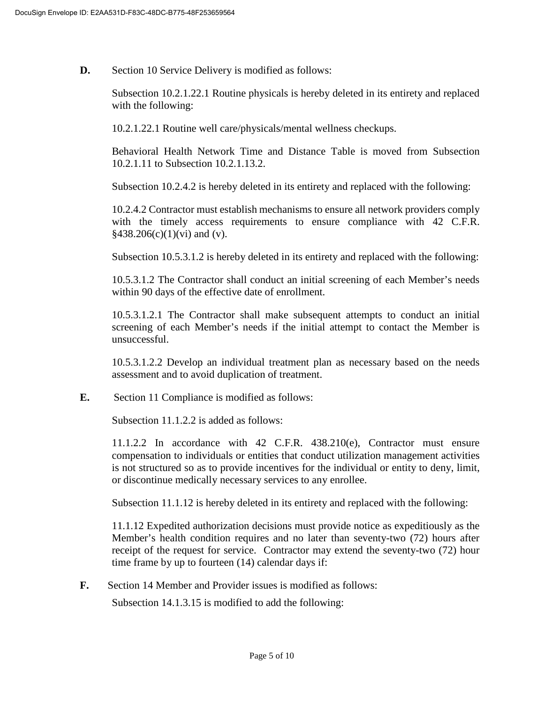**D.** Section 10 Service Delivery is modified as follows:

Subsection 10.2.1.22.1 Routine physicals is hereby deleted in its entirety and replaced with the following:

10.2.1.22.1 Routine well care/physicals/mental wellness checkups.

Behavioral Health Network Time and Distance Table is moved from Subsection 10.2.1.11 to Subsection 10.2.1.13.2.

Subsection 10.2.4.2 is hereby deleted in its entirety and replaced with the following:

10.2.4.2 Contractor must establish mechanisms to ensure all network providers comply with the timely access requirements to ensure compliance with 42 C.F.R.  $§438.206(c)(1)(vi)$  and (v).

Subsection 10.5.3.1.2 is hereby deleted in its entirety and replaced with the following:

10.5.3.1.2 The Contractor shall conduct an initial screening of each Member's needs within 90 days of the effective date of enrollment.

10.5.3.1.2.1 The Contractor shall make subsequent attempts to conduct an initial screening of each Member's needs if the initial attempt to contact the Member is unsuccessful.

10.5.3.1.2.2 Develop an individual treatment plan as necessary based on the needs assessment and to avoid duplication of treatment.

**E.** Section 11 Compliance is modified as follows:

Subsection 11.1.2.2 is added as follows:

11.1.2.2 In accordance with 42 C.F.R. 438.210(e), Contractor must ensure compensation to individuals or entities that conduct utilization management activities is not structured so as to provide incentives for the individual or entity to deny, limit, or discontinue medically necessary services to any enrollee.

Subsection 11.1.12 is hereby deleted in its entirety and replaced with the following:

11.1.12 Expedited authorization decisions must provide notice as expeditiously as the Member's health condition requires and no later than seventy-two (72) hours after receipt of the request for service. Contractor may extend the seventy-two (72) hour time frame by up to fourteen (14) calendar days if:

**F.** Section 14 Member and Provider issues is modified as follows:

Subsection 14.1.3.15 is modified to add the following: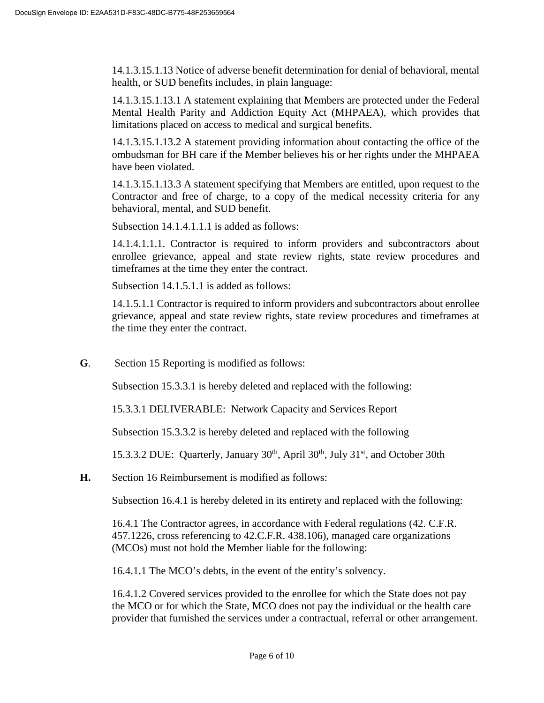14.1.3.15.1.13 Notice of adverse benefit determination for denial of behavioral, mental health, or SUD benefits includes, in plain language:

14.1.3.15.1.13.1 A statement explaining that Members are protected under the Federal Mental Health Parity and Addiction Equity Act (MHPAEA), which provides that limitations placed on access to medical and surgical benefits.

14.1.3.15.1.13.2 A statement providing information about contacting the office of the ombudsman for BH care if the Member believes his or her rights under the MHPAEA have been violated.

14.1.3.15.1.13.3 A statement specifying that Members are entitled, upon request to the Contractor and free of charge, to a copy of the medical necessity criteria for any behavioral, mental, and SUD benefit.

Subsection 14.1.4.1.1.1 is added as follows:

14.1.4.1.1.1. Contractor is required to inform providers and subcontractors about enrollee grievance, appeal and state review rights, state review procedures and timeframes at the time they enter the contract.

Subsection 14.1.5.1.1 is added as follows:

14.1.5.1.1 Contractor is required to inform providers and subcontractors about enrollee grievance, appeal and state review rights, state review procedures and timeframes at the time they enter the contract.

**G**. Section 15 Reporting is modified as follows:

Subsection 15.3.3.1 is hereby deleted and replaced with the following:

15.3.3.1 DELIVERABLE: Network Capacity and Services Report

Subsection 15.3.3.2 is hereby deleted and replaced with the following

15.3.3.2 DUE: Quarterly, January  $30<sup>th</sup>$ , April  $30<sup>th</sup>$ , July  $31<sup>st</sup>$ , and October 30th

**H.** Section 16 Reimbursement is modified as follows:

Subsection 16.4.1 is hereby deleted in its entirety and replaced with the following:

16.4.1 The Contractor agrees, in accordance with Federal regulations (42. C.F.R. 457.1226, cross referencing to 42.C.F.R. 438.106), managed care organizations (MCOs) must not hold the Member liable for the following:

16.4.1.1 The MCO's debts, in the event of the entity's solvency.

16.4.1.2 Covered services provided to the enrollee for which the State does not pay the MCO or for which the State, MCO does not pay the individual or the health care provider that furnished the services under a contractual, referral or other arrangement.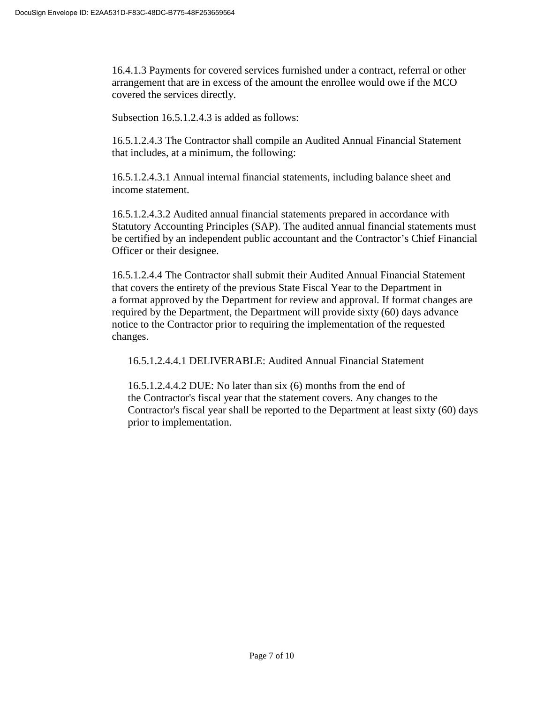16.4.1.3 Payments for covered services furnished under a contract, referral or other arrangement that are in excess of the amount the enrollee would owe if the MCO covered the services directly.

Subsection 16.5.1.2.4.3 is added as follows:

16.5.1.2.4.3 The Contractor shall compile an Audited Annual Financial Statement that includes, at a minimum, the following:

16.5.1.2.4.3.1 Annual internal financial statements, including balance sheet and income statement.

16.5.1.2.4.3.2 Audited annual financial statements prepared in accordance with Statutory Accounting Principles (SAP). The audited annual financial statements must be certified by an independent public accountant and the Contractor's Chief Financial Officer or their designee.

16.5.1.2.4.4 The Contractor shall submit their Audited Annual Financial Statement that covers the entirety of the previous State Fiscal Year to the Department in a format approved by the Department for review and approval. If format changes are required by the Department, the Department will provide sixty (60) days advance notice to the Contractor prior to requiring the implementation of the requested changes.

16.5.1.2.4.4.1 DELIVERABLE: Audited Annual Financial Statement

16.5.1.2.4.4.2 DUE: No later than six (6) months from the end of the Contractor's fiscal year that the statement covers. Any changes to the Contractor's fiscal year shall be reported to the Department at least sixty (60) days prior to implementation.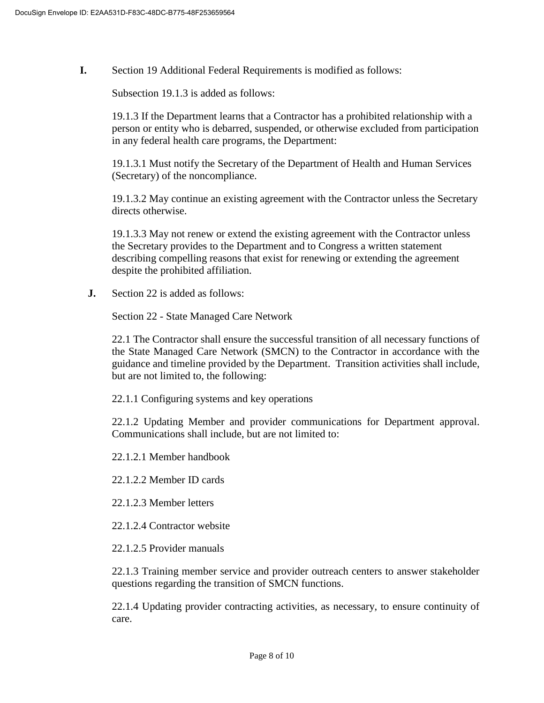**I.** Section 19 Additional Federal Requirements is modified as follows:

Subsection 19.1.3 is added as follows:

19.1.3 If the Department learns that a Contractor has a prohibited relationship with a person or entity who is debarred, suspended, or otherwise excluded from participation in any federal health care programs, the Department:

19.1.3.1 Must notify the Secretary of the Department of Health and Human Services (Secretary) of the noncompliance.

19.1.3.2 May continue an existing agreement with the Contractor unless the Secretary directs otherwise.

19.1.3.3 May not renew or extend the existing agreement with the Contractor unless the Secretary provides to the Department and to Congress a written statement describing compelling reasons that exist for renewing or extending the agreement despite the prohibited affiliation.

**J.** Section 22 is added as follows:

Section 22 - State Managed Care Network

22.1 The Contractor shall ensure the successful transition of all necessary functions of the State Managed Care Network (SMCN) to the Contractor in accordance with the guidance and timeline provided by the Department. Transition activities shall include, but are not limited to, the following:

22.1.1 Configuring systems and key operations

22.1.2 Updating Member and provider communications for Department approval. Communications shall include, but are not limited to:

22.1.2.1 Member handbook

22.1.2.2 Member ID cards

- 22.1.2.3 Member letters
- 22.1.2.4 Contractor website
- 22.1.2.5 Provider manuals

22.1.3 Training member service and provider outreach centers to answer stakeholder questions regarding the transition of SMCN functions.

22.1.4 Updating provider contracting activities, as necessary, to ensure continuity of care.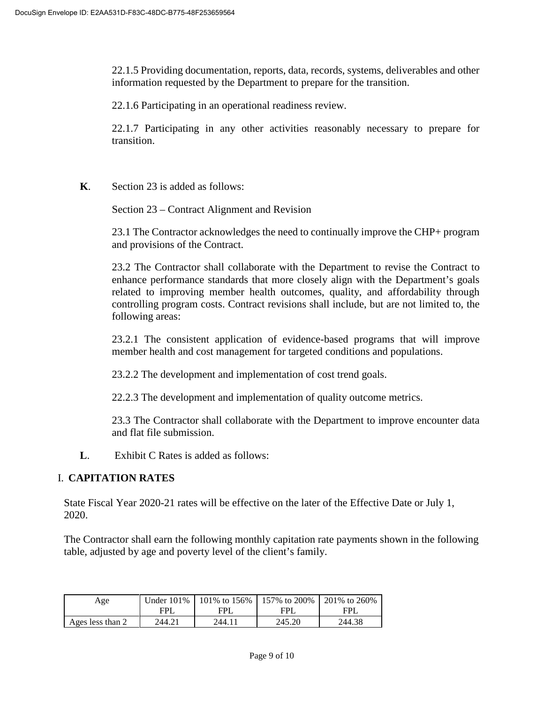22.1.5 Providing documentation, reports, data, records, systems, deliverables and other information requested by the Department to prepare for the transition.

22.1.6 Participating in an operational readiness review.

22.1.7 Participating in any other activities reasonably necessary to prepare for transition.

**K**. Section 23 is added as follows:

Section 23 – Contract Alignment and Revision

23.1 The Contractor acknowledges the need to continually improve the CHP+ program and provisions of the Contract.

23.2 The Contractor shall collaborate with the Department to revise the Contract to enhance performance standards that more closely align with the Department's goals related to improving member health outcomes, quality, and affordability through controlling program costs. Contract revisions shall include, but are not limited to, the following areas:

23.2.1 The consistent application of evidence-based programs that will improve member health and cost management for targeted conditions and populations.

23.2.2 The development and implementation of cost trend goals.

22.2.3 The development and implementation of quality outcome metrics.

23.3 The Contractor shall collaborate with the Department to improve encounter data and flat file submission.

**L**. Exhibit C Rates is added as follows:

## I. **CAPITATION RATES**

State Fiscal Year 2020-21 rates will be effective on the later of the Effective Date or July 1, 2020.

The Contractor shall earn the following monthly capitation rate payments shown in the following table, adjusted by age and poverty level of the client's family.

| Age              |        |        | Under 101%   101% to 156%   157% to 200%   201% to 260% |        |
|------------------|--------|--------|---------------------------------------------------------|--------|
|                  | FPI.   | FPI    | FPI                                                     | FPI.   |
| Ages less than 2 | 244.21 | 244 11 | 245.20                                                  | 244.38 |